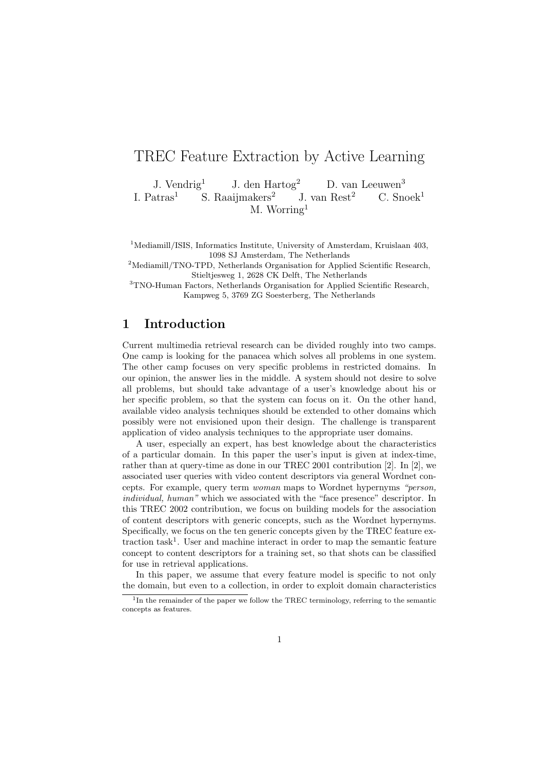# TREC Feature Extraction by Active Learning

J. Vendrig<sup>1</sup> J. den Hartog<sup>2</sup> D. van Leeuwen<sup>3</sup> I. Patras<sup>1</sup> S. Raaijmakers<sup>2</sup> J. van Rest<sup>2</sup> C. Snoek<sup>1</sup> M. Worring<sup>1</sup>

<sup>1</sup>Mediamill/ISIS, Informatics Institute, University of Amsterdam, Kruislaan 403, 1098 SJ Amsterdam, The Netherlands

<sup>2</sup>Mediamill/TNO-TPD, Netherlands Organisation for Applied Scientific Research, Stieltjesweg 1, 2628 CK Delft, The Netherlands

<sup>3</sup>TNO-Human Factors, Netherlands Organisation for Applied Scientific Research, Kampweg 5, 3769 ZG Soesterberg, The Netherlands

# 1 Introduction

Current multimedia retrieval research can be divided roughly into two camps. One camp is looking for the panacea which solves all problems in one system. The other camp focuses on very specific problems in restricted domains. In our opinion, the answer lies in the middle. A system should not desire to solve all problems, but should take advantage of a user's knowledge about his or her specific problem, so that the system can focus on it. On the other hand, available video analysis techniques should be extended to other domains which possibly were not envisioned upon their design. The challenge is transparent application of video analysis techniques to the appropriate user domains.

A user, especially an expert, has best knowledge about the characteristics of a particular domain. In this paper the user's input is given at index-time, rather than at query-time as done in our TREC 2001 contribution [2]. In [2], we associated user queries with video content descriptors via general Wordnet concepts. For example, query term woman maps to Wordnet hypernyms "person, individual, human" which we associated with the "face presence" descriptor. In this TREC 2002 contribution, we focus on building models for the association of content descriptors with generic concepts, such as the Wordnet hypernyms. Specifically, we focus on the ten generic concepts given by the TREC feature extraction task<sup>1</sup> . User and machine interact in order to map the semantic feature concept to content descriptors for a training set, so that shots can be classified for use in retrieval applications.

In this paper, we assume that every feature model is specific to not only the domain, but even to a collection, in order to exploit domain characteristics

<sup>&</sup>lt;sup>1</sup>In the remainder of the paper we follow the TREC terminology, referring to the semantic concepts as features.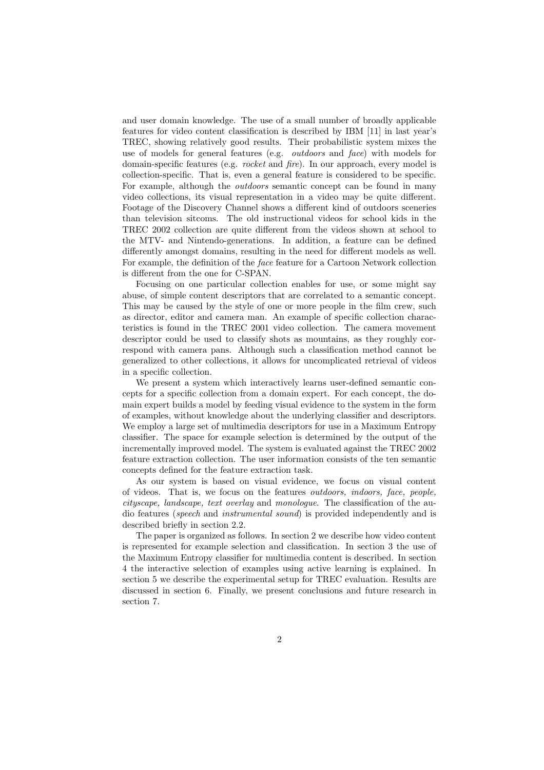and user domain knowledge. The use of a small number of broadly applicable features for video content classification is described by IBM [11] in last year's TREC, showing relatively good results. Their probabilistic system mixes the use of models for general features (e.g. outdoors and face) with models for domain-specific features (e.g. rocket and fire). In our approach, every model is collection-specific. That is, even a general feature is considered to be specific. For example, although the *outdoors* semantic concept can be found in many video collections, its visual representation in a video may be quite different. Footage of the Discovery Channel shows a different kind of outdoors sceneries than television sitcoms. The old instructional videos for school kids in the TREC 2002 collection are quite different from the videos shown at school to the MTV- and Nintendo-generations. In addition, a feature can be defined differently amongst domains, resulting in the need for different models as well. For example, the definition of the face feature for a Cartoon Network collection is different from the one for C-SPAN.

Focusing on one particular collection enables for use, or some might say abuse, of simple content descriptors that are correlated to a semantic concept. This may be caused by the style of one or more people in the film crew, such as director, editor and camera man. An example of specific collection characteristics is found in the TREC 2001 video collection. The camera movement descriptor could be used to classify shots as mountains, as they roughly correspond with camera pans. Although such a classification method cannot be generalized to other collections, it allows for uncomplicated retrieval of videos in a specific collection.

We present a system which interactively learns user-defined semantic concepts for a specific collection from a domain expert. For each concept, the domain expert builds a model by feeding visual evidence to the system in the form of examples, without knowledge about the underlying classifier and descriptors. We employ a large set of multimedia descriptors for use in a Maximum Entropy classifier. The space for example selection is determined by the output of the incrementally improved model. The system is evaluated against the TREC 2002 feature extraction collection. The user information consists of the ten semantic concepts defined for the feature extraction task.

As our system is based on visual evidence, we focus on visual content of videos. That is, we focus on the features outdoors, indoors, face, people, cityscape, landscape, text overlay and monologue. The classification of the audio features (speech and instrumental sound) is provided independently and is described briefly in section 2.2.

The paper is organized as follows. In section 2 we describe how video content is represented for example selection and classification. In section 3 the use of the Maximum Entropy classifier for multimedia content is described. In section 4 the interactive selection of examples using active learning is explained. In section 5 we describe the experimental setup for TREC evaluation. Results are discussed in section 6. Finally, we present conclusions and future research in section 7.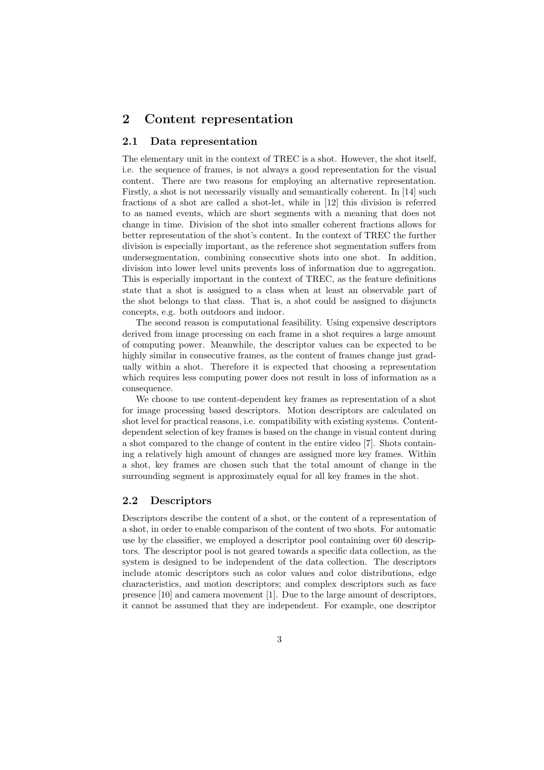#### 2 Content representation

#### 2.1 Data representation

The elementary unit in the context of TREC is a shot. However, the shot itself, i.e. the sequence of frames, is not always a good representation for the visual content. There are two reasons for employing an alternative representation. Firstly, a shot is not necessarily visually and semantically coherent. In [14] such fractions of a shot are called a shot-let, while in [12] this division is referred to as named events, which are short segments with a meaning that does not change in time. Division of the shot into smaller coherent fractions allows for better representation of the shot's content. In the context of TREC the further division is especially important, as the reference shot segmentation suffers from undersegmentation, combining consecutive shots into one shot. In addition, division into lower level units prevents loss of information due to aggregation. This is especially important in the context of TREC, as the feature definitions state that a shot is assigned to a class when at least an observable part of the shot belongs to that class. That is, a shot could be assigned to disjuncts concepts, e.g. both outdoors and indoor.

The second reason is computational feasibility. Using expensive descriptors derived from image processing on each frame in a shot requires a large amount of computing power. Meanwhile, the descriptor values can be expected to be highly similar in consecutive frames, as the content of frames change just gradually within a shot. Therefore it is expected that choosing a representation which requires less computing power does not result in loss of information as a consequence.

We choose to use content-dependent key frames as representation of a shot for image processing based descriptors. Motion descriptors are calculated on shot level for practical reasons, i.e. compatibility with existing systems. Contentdependent selection of key frames is based on the change in visual content during a shot compared to the change of content in the entire video [7]. Shots containing a relatively high amount of changes are assigned more key frames. Within a shot, key frames are chosen such that the total amount of change in the surrounding segment is approximately equal for all key frames in the shot.

#### 2.2 Descriptors

Descriptors describe the content of a shot, or the content of a representation of a shot, in order to enable comparison of the content of two shots. For automatic use by the classifier, we employed a descriptor pool containing over 60 descriptors. The descriptor pool is not geared towards a specific data collection, as the system is designed to be independent of the data collection. The descriptors include atomic descriptors such as color values and color distributions, edge characteristics, and motion descriptors; and complex descriptors such as face presence [10] and camera movement [1]. Due to the large amount of descriptors, it cannot be assumed that they are independent. For example, one descriptor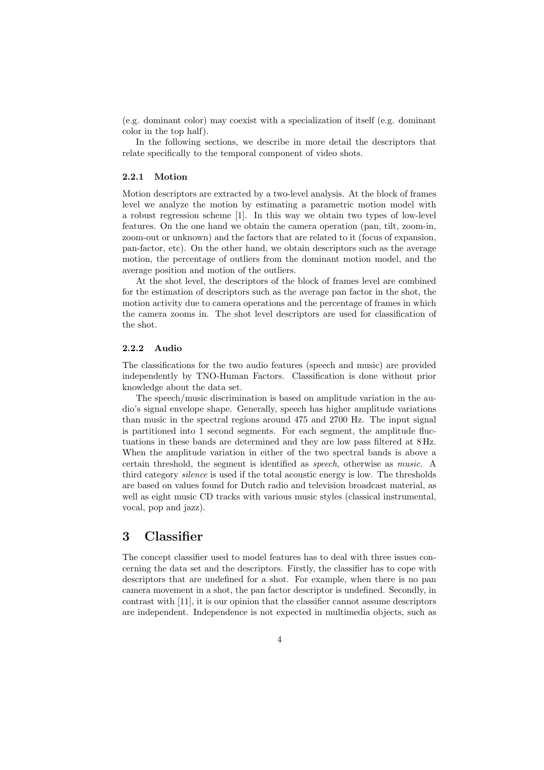(e.g. dominant color) may coexist with a specialization of itself (e.g. dominant color in the top half).

In the following sections, we describe in more detail the descriptors that relate specifically to the temporal component of video shots.

#### 2.2.1 Motion

Motion descriptors are extracted by a two-level analysis. At the block of frames level we analyze the motion by estimating a parametric motion model with a robust regression scheme [1]. In this way we obtain two types of low-level features. On the one hand we obtain the camera operation (pan, tilt, zoom-in, zoom-out or unknown) and the factors that are related to it (focus of expansion, pan-factor, etc). On the other hand, we obtain descriptors such as the average motion, the percentage of outliers from the dominant motion model, and the average position and motion of the outliers.

At the shot level, the descriptors of the block of frames level are combined for the estimation of descriptors such as the average pan factor in the shot, the motion activity due to camera operations and the percentage of frames in which the camera zooms in. The shot level descriptors are used for classification of the shot.

#### 2.2.2 Audio

The classifications for the two audio features (speech and music) are provided independently by TNO-Human Factors. Classification is done without prior knowledge about the data set.

The speech/music discrimination is based on amplitude variation in the audio's signal envelope shape. Generally, speech has higher amplitude variations than music in the spectral regions around 475 and 2700 Hz. The input signal is partitioned into 1 second segments. For each segment, the amplitude fluctuations in these bands are determined and they are low pass filtered at 8 Hz. When the amplitude variation in either of the two spectral bands is above a certain threshold, the segment is identified as speech, otherwise as music. A third category silence is used if the total acoustic energy is low. The thresholds are based on values found for Dutch radio and television broadcast material, as well as eight music CD tracks with various music styles (classical instrumental, vocal, pop and jazz).

# 3 Classifier

The concept classifier used to model features has to deal with three issues concerning the data set and the descriptors. Firstly, the classifier has to cope with descriptors that are undefined for a shot. For example, when there is no pan camera movement in a shot, the pan factor descriptor is undefined. Secondly, in contrast with [11], it is our opinion that the classifier cannot assume descriptors are independent. Independence is not expected in multimedia objects, such as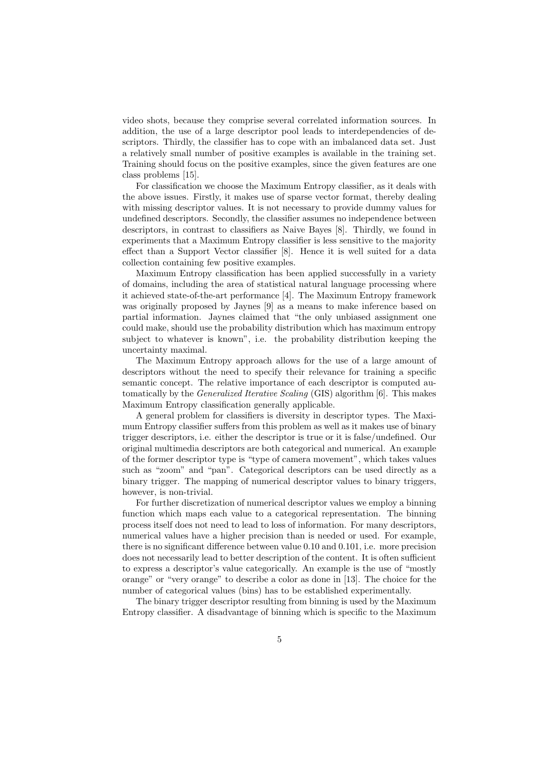video shots, because they comprise several correlated information sources. In addition, the use of a large descriptor pool leads to interdependencies of descriptors. Thirdly, the classifier has to cope with an imbalanced data set. Just a relatively small number of positive examples is available in the training set. Training should focus on the positive examples, since the given features are one class problems [15].

For classification we choose the Maximum Entropy classifier, as it deals with the above issues. Firstly, it makes use of sparse vector format, thereby dealing with missing descriptor values. It is not necessary to provide dummy values for undefined descriptors. Secondly, the classifier assumes no independence between descriptors, in contrast to classifiers as Naive Bayes [8]. Thirdly, we found in experiments that a Maximum Entropy classifier is less sensitive to the majority effect than a Support Vector classifier [8]. Hence it is well suited for a data collection containing few positive examples.

Maximum Entropy classification has been applied successfully in a variety of domains, including the area of statistical natural language processing where it achieved state-of-the-art performance [4]. The Maximum Entropy framework was originally proposed by Jaynes [9] as a means to make inference based on partial information. Jaynes claimed that "the only unbiased assignment one could make, should use the probability distribution which has maximum entropy subject to whatever is known", i.e. the probability distribution keeping the uncertainty maximal.

The Maximum Entropy approach allows for the use of a large amount of descriptors without the need to specify their relevance for training a specific semantic concept. The relative importance of each descriptor is computed automatically by the Generalized Iterative Scaling (GIS) algorithm [6]. This makes Maximum Entropy classification generally applicable.

A general problem for classifiers is diversity in descriptor types. The Maximum Entropy classifier suffers from this problem as well as it makes use of binary trigger descriptors, i.e. either the descriptor is true or it is false/undefined. Our original multimedia descriptors are both categorical and numerical. An example of the former descriptor type is "type of camera movement", which takes values such as "zoom" and "pan". Categorical descriptors can be used directly as a binary trigger. The mapping of numerical descriptor values to binary triggers, however, is non-trivial.

For further discretization of numerical descriptor values we employ a binning function which maps each value to a categorical representation. The binning process itself does not need to lead to loss of information. For many descriptors, numerical values have a higher precision than is needed or used. For example, there is no significant difference between value 0.10 and 0.101, i.e. more precision does not necessarily lead to better description of the content. It is often sufficient to express a descriptor's value categorically. An example is the use of "mostly orange" or "very orange" to describe a color as done in [13]. The choice for the number of categorical values (bins) has to be established experimentally.

The binary trigger descriptor resulting from binning is used by the Maximum Entropy classifier. A disadvantage of binning which is specific to the Maximum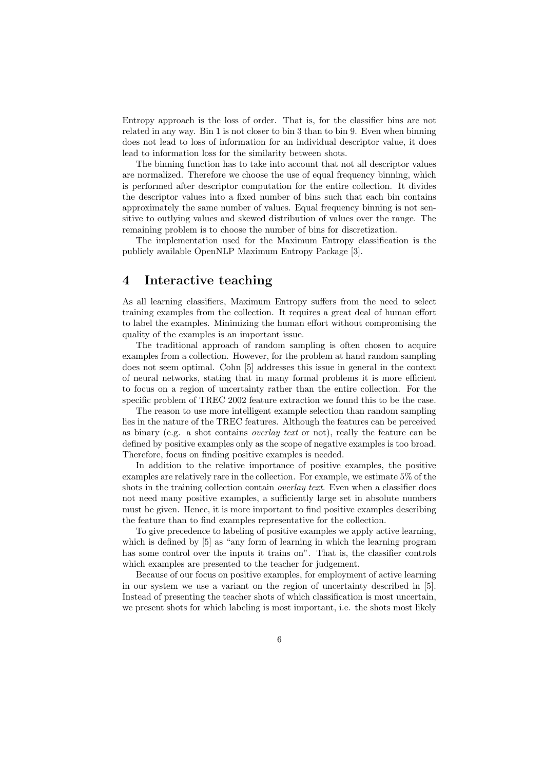Entropy approach is the loss of order. That is, for the classifier bins are not related in any way. Bin 1 is not closer to bin 3 than to bin 9. Even when binning does not lead to loss of information for an individual descriptor value, it does lead to information loss for the similarity between shots.

The binning function has to take into account that not all descriptor values are normalized. Therefore we choose the use of equal frequency binning, which is performed after descriptor computation for the entire collection. It divides the descriptor values into a fixed number of bins such that each bin contains approximately the same number of values. Equal frequency binning is not sensitive to outlying values and skewed distribution of values over the range. The remaining problem is to choose the number of bins for discretization.

The implementation used for the Maximum Entropy classification is the publicly available OpenNLP Maximum Entropy Package [3].

#### 4 Interactive teaching

As all learning classifiers, Maximum Entropy suffers from the need to select training examples from the collection. It requires a great deal of human effort to label the examples. Minimizing the human effort without compromising the quality of the examples is an important issue.

The traditional approach of random sampling is often chosen to acquire examples from a collection. However, for the problem at hand random sampling does not seem optimal. Cohn [5] addresses this issue in general in the context of neural networks, stating that in many formal problems it is more efficient to focus on a region of uncertainty rather than the entire collection. For the specific problem of TREC 2002 feature extraction we found this to be the case.

The reason to use more intelligent example selection than random sampling lies in the nature of the TREC features. Although the features can be perceived as binary (e.g. a shot contains overlay text or not), really the feature can be defined by positive examples only as the scope of negative examples is too broad. Therefore, focus on finding positive examples is needed.

In addition to the relative importance of positive examples, the positive examples are relatively rare in the collection. For example, we estimate 5% of the shots in the training collection contain *overlay text*. Even when a classifier does not need many positive examples, a sufficiently large set in absolute numbers must be given. Hence, it is more important to find positive examples describing the feature than to find examples representative for the collection.

To give precedence to labeling of positive examples we apply active learning, which is defined by  $[5]$  as "any form of learning in which the learning program has some control over the inputs it trains on". That is, the classifier controls which examples are presented to the teacher for judgement.

Because of our focus on positive examples, for employment of active learning in our system we use a variant on the region of uncertainty described in [5]. Instead of presenting the teacher shots of which classification is most uncertain, we present shots for which labeling is most important, i.e. the shots most likely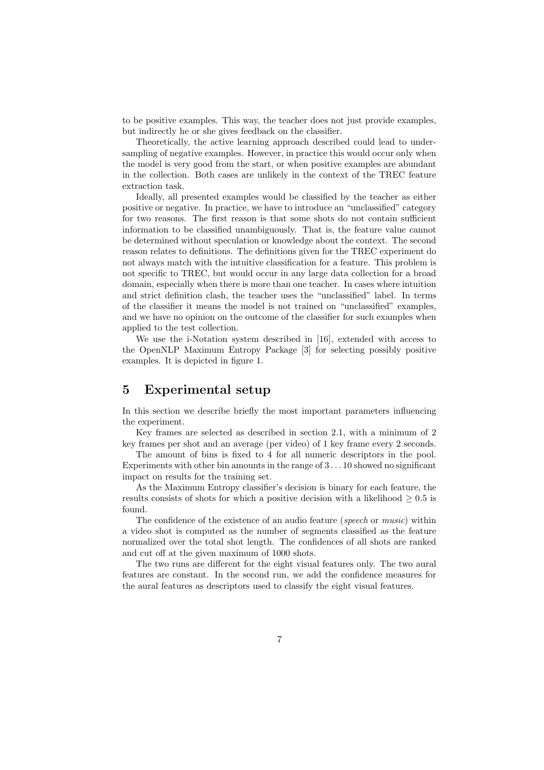to be positive examples. This way, the teacher does not just provide examples, but indirectly he or she gives feedback on the classifier.

Theoretically, the active learning approach described could lead to undersampling of negative examples. However, in practice this would occur only when the model is very good from the start, or when positive examples are abundant in the collection. Both cases are unlikely in the context of the TREC feature extraction task.

Ideally, all presented examples would be classified by the teacher as either positive or negative. In practice, we have to introduce an "unclassified" category for two reasons. The first reason is that some shots do not contain sufficient information to be classified unambiguously. That is, the feature value cannot be determined without speculation or knowledge about the context. The second reason relates to definitions. The definitions given for the TREC experiment do not always match with the intuitive classification for a feature. This problem is not specific to TREC, but would occur in any large data collection for a broad domain, especially when there is more than one teacher. In cases where intuition and strict definition clash, the teacher uses the "unclassified" label. In terms of the classifier it means the model is not trained on "unclassified" examples, and we have no opinion on the outcome of the classifier for such examples when applied to the test collection.

We use the i-Notation system described in [16], extended with access to the OpenNLP Maximum Entropy Package [3] for selecting possibly positive examples. It is depicted in figure 1.

### 5 Experimental setup

In this section we describe briefly the most important parameters influencing the experiment.

Key frames are selected as described in section 2.1, with a minimum of 2 key frames per shot and an average (per video) of 1 key frame every 2 seconds.

The amount of bins is fixed to 4 for all numeric descriptors in the pool. Experiments with other bin amounts in the range of 3 . . . 10 showed no significant impact on results for the training set.

As the Maximum Entropy classifier's decision is binary for each feature, the results consists of shots for which a positive decision with a likelihood  $\geq 0.5$  is found.

The confidence of the existence of an audio feature (speech or music) within a video shot is computed as the number of segments classified as the feature normalized over the total shot length. The confidences of all shots are ranked and cut off at the given maximum of 1000 shots.

The two runs are different for the eight visual features only. The two aural features are constant. In the second run, we add the confidence measures for the aural features as descriptors used to classify the eight visual features.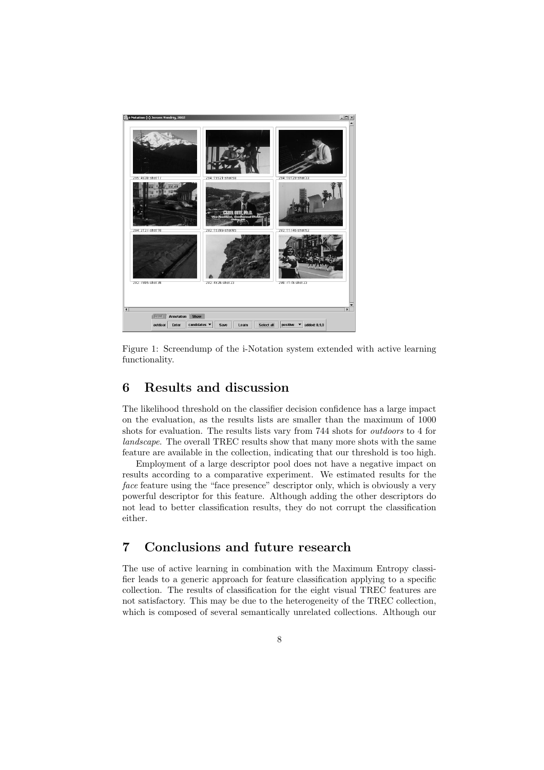

Figure 1: Screendump of the i-Notation system extended with active learning functionality.

# 6 Results and discussion

The likelihood threshold on the classifier decision confidence has a large impact on the evaluation, as the results lists are smaller than the maximum of 1000 shots for evaluation. The results lists vary from 744 shots for outdoors to 4 for landscape. The overall TREC results show that many more shots with the same feature are available in the collection, indicating that our threshold is too high.

Employment of a large descriptor pool does not have a negative impact on results according to a comparative experiment. We estimated results for the face feature using the "face presence" descriptor only, which is obviously a very powerful descriptor for this feature. Although adding the other descriptors do not lead to better classification results, they do not corrupt the classification either.

# 7 Conclusions and future research

The use of active learning in combination with the Maximum Entropy classifier leads to a generic approach for feature classification applying to a specific collection. The results of classification for the eight visual TREC features are not satisfactory. This may be due to the heterogeneity of the TREC collection, which is composed of several semantically unrelated collections. Although our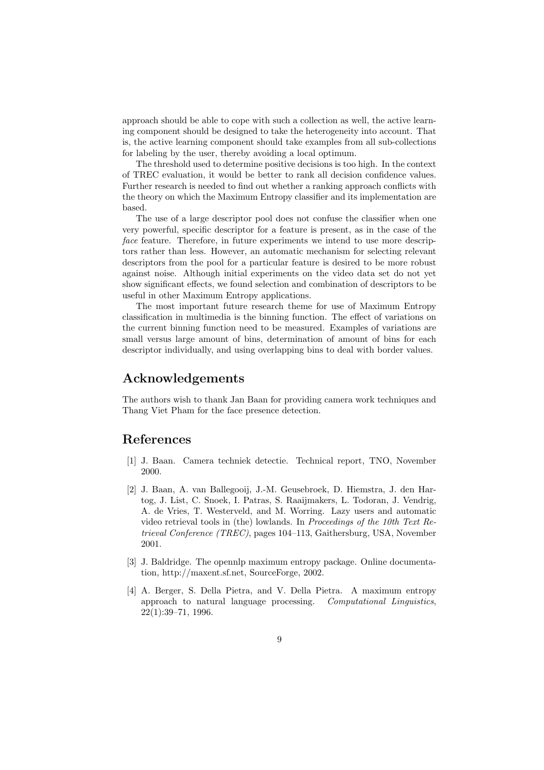approach should be able to cope with such a collection as well, the active learning component should be designed to take the heterogeneity into account. That is, the active learning component should take examples from all sub-collections for labeling by the user, thereby avoiding a local optimum.

The threshold used to determine positive decisions is too high. In the context of TREC evaluation, it would be better to rank all decision confidence values. Further research is needed to find out whether a ranking approach conflicts with the theory on which the Maximum Entropy classifier and its implementation are based.

The use of a large descriptor pool does not confuse the classifier when one very powerful, specific descriptor for a feature is present, as in the case of the face feature. Therefore, in future experiments we intend to use more descriptors rather than less. However, an automatic mechanism for selecting relevant descriptors from the pool for a particular feature is desired to be more robust against noise. Although initial experiments on the video data set do not yet show significant effects, we found selection and combination of descriptors to be useful in other Maximum Entropy applications.

The most important future research theme for use of Maximum Entropy classification in multimedia is the binning function. The effect of variations on the current binning function need to be measured. Examples of variations are small versus large amount of bins, determination of amount of bins for each descriptor individually, and using overlapping bins to deal with border values.

# Acknowledgements

The authors wish to thank Jan Baan for providing camera work techniques and Thang Viet Pham for the face presence detection.

### References

- [1] J. Baan. Camera techniek detectie. Technical report, TNO, November 2000.
- [2] J. Baan, A. van Ballegooij, J.-M. Geusebroek, D. Hiemstra, J. den Hartog, J. List, C. Snoek, I. Patras, S. Raaijmakers, L. Todoran, J. Vendrig, A. de Vries, T. Westerveld, and M. Worring. Lazy users and automatic video retrieval tools in (the) lowlands. In Proceedings of the 10th Text Retrieval Conference (TREC), pages 104–113, Gaithersburg, USA, November 2001.
- [3] J. Baldridge. The opennlp maximum entropy package. Online documentation, http://maxent.sf.net, SourceForge, 2002.
- [4] A. Berger, S. Della Pietra, and V. Della Pietra. A maximum entropy approach to natural language processing. Computational Linguistics, 22(1):39–71, 1996.